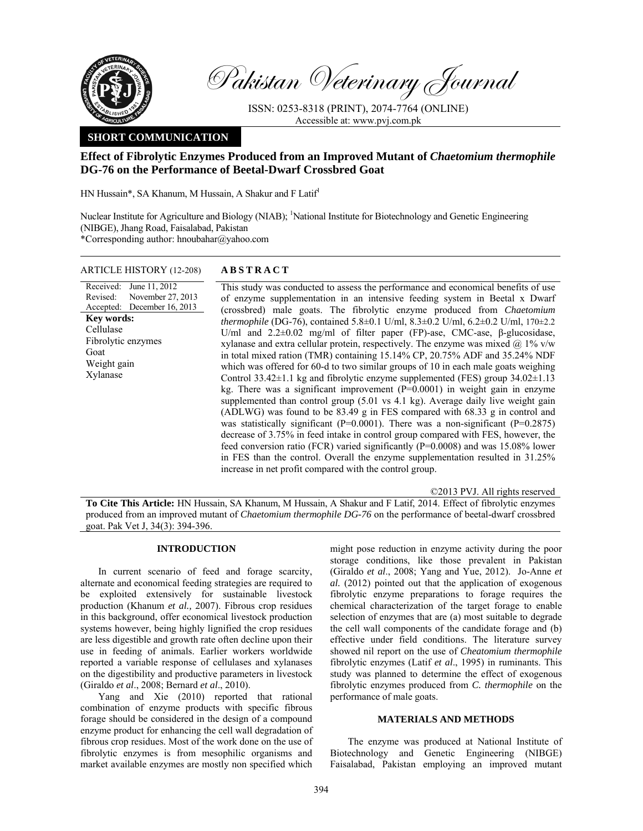

Pakistan Veterinary Journal

ISSN: 0253-8318 (PRINT), 2074-7764 (ONLINE) Accessible at: www.pvj.com.pk

# **SHORT COMMUNICATION**

# **Effect of Fibrolytic Enzymes Produced from an Improved Mutant of** *Chaetomium thermophile*  **DG-76 on the Performance of Beetal-Dwarf Crossbred Goat**

HN Hussain\*, SA Khanum, M Hussain, A Shakur and F Latif<sup>1</sup>

Nuclear Institute for Agriculture and Biology (NIAB); <sup>1</sup>National Institute for Biotechnology and Genetic Engineering (NIBGE), Jhang Road, Faisalabad, Pakistan \*Corresponding author: hnoubahar@yahoo.com

### ARTICLE HISTORY (12-208) **ABSTRACT**

Received: Revised: Accepted: December 16, 2013 June 11, 2012 November 27, 2013 **Key words:**  Cellulase Fibrolytic enzymes Goat Weight gain Xylanase

 This study was conducted to assess the performance and economical benefits of use of enzyme supplementation in an intensive feeding system in Beetal x Dwarf (crossbred) male goats. The fibrolytic enzyme produced from *Chaetomium thermophile* (DG-76), contained 5.8±0.1 U/ml, 8.3±0.2 U/ml, 6.2±0.2 U/ml, 170±2.2 U/ml and 2.2±0.02 mg/ml of filter paper (FP)-ase, CMC-ase, β-glucosidase, xylanase and extra cellular protein, respectively. The enzyme was mixed  $\omega$  1% v/w in total mixed ration (TMR) containing 15.14% CP, 20.75% ADF and 35.24% NDF which was offered for 60-d to two similar groups of 10 in each male goats weighing Control 33.42±1.1 kg and fibrolytic enzyme supplemented (FES) group 34.02±1.13 kg. There was a significant improvement (P=0.0001) in weight gain in enzyme supplemented than control group (5.01 vs 4.1 kg). Average daily live weight gain (ADLWG) was found to be  $83.49 \text{ g}$  in FES compared with  $68.33 \text{ g}$  in control and was statistically significant ( $P=0.0001$ ). There was a non-significant ( $P=0.2875$ ) decrease of 3.75% in feed intake in control group compared with FES, however, the feed conversion ratio (FCR) varied significantly (P=0.0008) and was 15.08% lower in FES than the control. Overall the enzyme supplementation resulted in 31.25% increase in net profit compared with the control group.

©2013 PVJ. All rights reserved

**To Cite This Article:** HN Hussain, SA Khanum, M Hussain, A Shakur and F Latif, 2014. Effect of fibrolytic enzymes produced from an improved mutant of *Chaetomium thermophile DG-76* on the performance of beetal-dwarf crossbred goat. Pak Vet J, 34(3): 394-396.

# **INTRODUCTION**

In current scenario of feed and forage scarcity, alternate and economical feeding strategies are required to be exploited extensively for sustainable livestock production (Khanum *et al.,* 2007). Fibrous crop residues in this background, offer economical livestock production systems however, being highly lignified the crop residues are less digestible and growth rate often decline upon their use in feeding of animals. Earlier workers worldwide reported a variable response of cellulases and xylanases on the digestibility and productive parameters in livestock (Giraldo *et al*., 2008; Bernard *et al*., 2010).

Yang and Xie (2010) reported that rational combination of enzyme products with specific fibrous forage should be considered in the design of a compound enzyme product for enhancing the cell wall degradation of fibrous crop residues. Most of the work done on the use of fibrolytic enzymes is from mesophilic organisms and market available enzymes are mostly non specified which

might pose reduction in enzyme activity during the poor storage conditions, like those prevalent in Pakistan (Giraldo *et al*., 2008; Yang and Yue, 2012). Jo-Anne *et al.* (2012) pointed out that the application of exogenous fibrolytic enzyme preparations to forage requires the chemical characterization of the target forage to enable selection of enzymes that are (a) most suitable to degrade the cell wall components of the candidate forage and (b) effective under field conditions. The literature survey showed nil report on the use of *Cheatomium thermophile* fibrolytic enzymes (Latif *et al*., 1995) in ruminants. This study was planned to determine the effect of exogenous fibrolytic enzymes produced from *C. thermophile* on the performance of male goats.

# **MATERIALS AND METHODS**

The enzyme was produced at National Institute of Biotechnology and Genetic Engineering (NIBGE) Faisalabad, Pakistan employing an improved mutant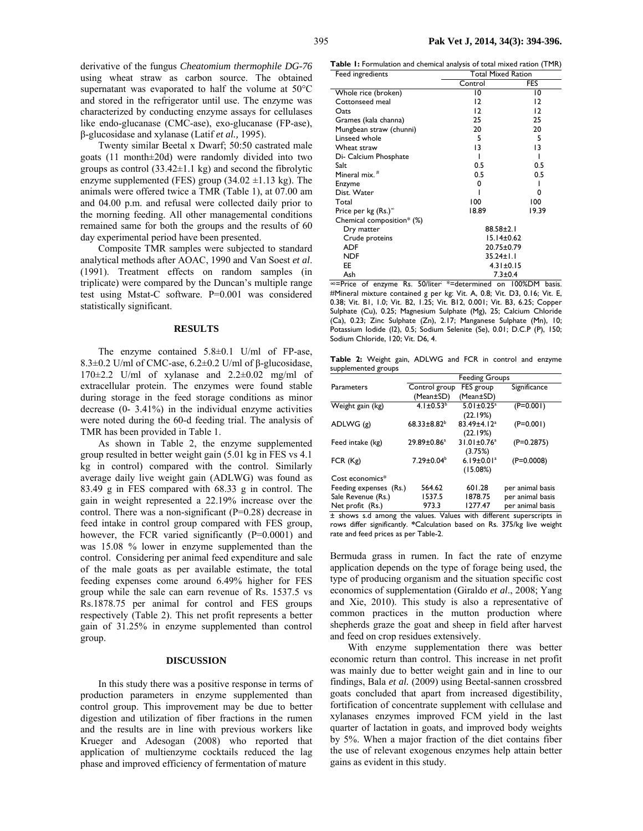derivative of the fungus *Cheatomium thermophile DG-76* using wheat straw as carbon source. The obtained supernatant was evaporated to half the volume at 50°C and stored in the refrigerator until use. The enzyme was characterized by conducting enzyme assays for cellulases like endo-glucanase (CMC-ase), exo-glucanase (FP-ase), β-glucosidase and xylanase (Latif *et al.,* 1995).

Twenty similar Beetal x Dwarf; 50:50 castrated male goats (11 month±20d) were randomly divided into two groups as control  $(33.42 \pm 1.1 \text{ kg})$  and second the fibrolytic enzyme supplemented (FES) group  $(34.02 \pm 1.13 \text{ kg})$ . The animals were offered twice a TMR (Table 1), at 07.00 am and 04.00 p.m. and refusal were collected daily prior to the morning feeding. All other managemental conditions remained same for both the groups and the results of 60 day experimental period have been presented.

Composite TMR samples were subjected to standard analytical methods after AOAC, 1990 and Van Soest *et al*. (1991). Treatment effects on random samples (in triplicate) were compared by the Duncan's multiple range test using Mstat-C software. P=0.001 was considered statistically significant.

#### **RESULTS**

The enzyme contained  $5.8\pm0.1$  U/ml of FP-ase, 8.3±0.2 U/ml of CMC-ase, 6.2±0.2 U/ml of β-glucosidase, 170±2.2 U/ml of xylanase and 2.2±0.02 mg/ml of extracellular protein. The enzymes were found stable during storage in the feed storage conditions as minor decrease (0- 3.41%) in the individual enzyme activities were noted during the 60-d feeding trial. The analysis of TMR has been provided in Table 1.

As shown in Table 2, the enzyme supplemented group resulted in better weight gain (5.01 kg in FES vs 4.1 kg in control) compared with the control. Similarly average daily live weight gain (ADLWG) was found as 83.49 g in FES compared with 68.33 g in control. The gain in weight represented a 22.19% increase over the control. There was a non-significant (P=0.28) decrease in feed intake in control group compared with FES group, however, the FCR varied significantly (P=0.0001) and was 15.08 % lower in enzyme supplemented than the control. Considering per animal feed expenditure and sale of the male goats as per available estimate, the total feeding expenses come around 6.49% higher for FES group while the sale can earn revenue of Rs. 1537.5 vs Rs.1878.75 per animal for control and FES groups respectively (Table 2). This net profit represents a better gain of 31.25% in enzyme supplemented than control group.

#### **DISCUSSION**

In this study there was a positive response in terms of production parameters in enzyme supplemented than control group. This improvement may be due to better digestion and utilization of fiber fractions in the rumen and the results are in line with previous workers like Krueger and Adesogan (2008) who reported that application of multienzyme cocktails reduced the lag phase and improved efficiency of fermentation of mature

**Table 1:** Formulation and chemical analysis of total mixed ration (TMR)

| Feed ingredients                | <b>Total Mixed Ration</b> |       |
|---------------------------------|---------------------------|-------|
|                                 | Control                   | FES   |
| Whole rice (broken)             | 10                        | 10    |
| Cottonseed meal                 | 12                        | 12    |
| Oats                            | 12                        | 12    |
| Grames (kala channa)            | 25                        | 25    |
| Mungbean straw (chunni)         | 20                        | 20    |
| Linseed whole                   | 5                         | 5     |
| Wheat straw                     | 13                        | 13    |
| Di- Calcium Phosphate           |                           | ı     |
| Salt                            | 0.5                       | 0.5   |
| Mineral mix. <sup>#</sup>       | 0.5                       | 0.5   |
| Enzyme                          | 0                         | ı     |
| Dist. Water                     |                           | 0     |
| Total                           | 100                       | 100   |
| Price per kg (Rs.) <sup>®</sup> | 18.89                     | 19.39 |
| Chemical composition* (%)       |                           |       |
| Dry matter                      | $88.58 \pm 2.1$           |       |
| Crude proteins                  | 15.14±0.62                |       |
| ADF                             | 20.75±0.79                |       |
| <b>NDF</b>                      | 35.24±1.1                 |       |
| EE                              | $4.31 \pm 0.15$           |       |
| Ash                             | $7.3 + 0.4$               |       |

∞=Price of enzyme Rs. 50/liter; \*=determined on 100%DM basis. #Mineral mixture contained g per kg: Vit. A, 0.8; Vit. D3, 0.16; Vit. E, 0.38; Vit. B1, 1.0; Vit. B2, 1.25; Vit. B12, 0.001; Vit. B3, 6.25; Copper Sulphate (Cu), 0.25; Magnesium Sulphate (Mg), 25; Calcium Chloride (Ca), 0.23; Zinc Sulphate (Zn), 2.17; Manganese Sulphate (Mn), 10; Potassium Iodide (I2), 0.5; Sodium Selenite (Se), 0.01; D.C.P (P), 150; Sodium Chloride, 120; Vit. D6, 4.

**Table 2:** Weight gain, ADLWG and FCR in control and enzyme supplemented groups

|                        | <b>Feeding Groups</b> |                               |                  |
|------------------------|-----------------------|-------------------------------|------------------|
| Parameters             | Control group         | FES group                     | Significance     |
|                        | (Mean±SD)             | (Mean±SD)                     |                  |
| Weight gain (kg)       | $4.1 \pm 0.53^b$      | $5.01 \pm 0.25$ <sup>a</sup>  | $(F=0.001)$      |
|                        |                       | (22.19%)                      |                  |
| ADLWG (g)              | $68.33 \pm 8.82^b$    | 83.49±4.12 <sup>a</sup>       | $(P=0.001)$      |
|                        |                       | (22.19%)                      |                  |
| Feed intake (kg)       | $29.89 \pm 0.86^a$    | $31.01 \pm 0.76$ <sup>a</sup> | $(P=0.2875)$     |
|                        |                       | (3.75%)                       |                  |
| FCR(Kg)                | $7.29 \pm 0.04^b$     | $6.19 \pm 0.01$ <sup>a</sup>  | $(P=0.0008)$     |
|                        |                       | (15.08%)                      |                  |
| Cost economics*        |                       |                               |                  |
| Feeding expenses (Rs.) | 564.62                | 601.28                        | per animal basis |
| Sale Revenue (Rs.)     | 1537.5                | 1878.75                       | per animal basis |
| Net profit (Rs.)       | 973.3                 | 1277.47                       | per animal basis |

± shows s.d among the values. Values with different superscripts in rows differ significantly. **\***Calculation based on Rs. 375/kg live weight rate and feed prices as per Table-2.

Bermuda grass in rumen. In fact the rate of enzyme application depends on the type of forage being used, the type of producing organism and the situation specific cost economics of supplementation (Giraldo *et al*., 2008; Yang and Xie, 2010). This study is also a representative of common practices in the mutton production where shepherds graze the goat and sheep in field after harvest and feed on crop residues extensively.

With enzyme supplementation there was better economic return than control. This increase in net profit was mainly due to better weight gain and in line to our findings, Bala *et al.* (2009) using Beetal-sannen crossbred goats concluded that apart from increased digestibility, fortification of concentrate supplement with cellulase and xylanases enzymes improved FCM yield in the last quarter of lactation in goats, and improved body weights by 5%. When a major fraction of the diet contains fiber the use of relevant exogenous enzymes help attain better gains as evident in this study.